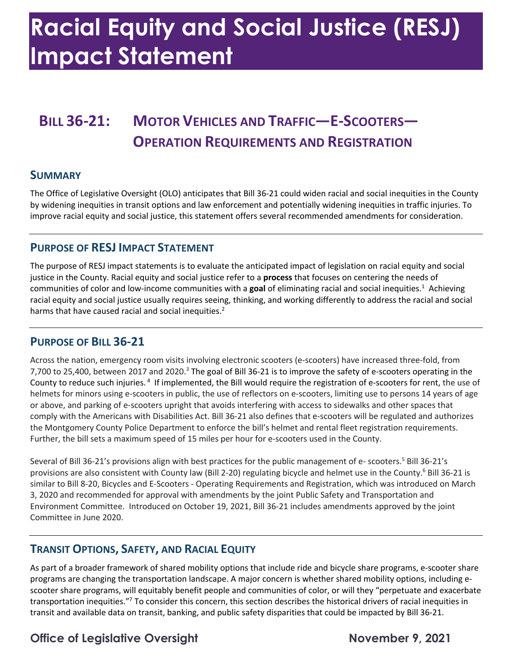# **Racial Equity and Social Justice (RESJ) Impact Statement**

### **BILL 36-21: MOTOR VEHICLES AND TRAFFIC—E-SCOOTERS— OPERATION REQUIREMENTS AND REGISTRATION**

#### **SUMMARY**

 The Office of Legislative Oversight (OLO) anticipates that Bill 36-21 could widen racial and social inequities in the County by widening inequities in transit options and law enforcement and potentially widening inequities in traffic injuries. To improve racial equity and social justice, this statement offers several recommended amendments for consideration.

#### **PURPOSE OF RESJ IMPACT STATEMENT**

 The purpose of RESJ impact statements is to evaluate the anticipated impact of legislation on racial equity and social justice in the County. Racial equity and social justice refer to a **process** that focuses on centering the needs of communities of color and low-income communities with a **goal** of eliminating racial and social inequities.1 Achieving racial equity and social justice usually requires seeing, thinking, and working differently to address the racial and social harms that have caused racial and social inequities.<sup>2</sup>

### **PURPOSE OF BILL 36-21**

 Across the nation, emergency room visits involving electronic scooters (e-scooters) have increased three-fold, from 7,700 to 25,400, between 2017 and 2020.<sup>3</sup> The goal of Bill 36-21 is to improve the safety of e-scooters operating in the County to reduce such injuries.<sup>4</sup> If implemented, the Bill would require the registration of e-scooters for rent, the use of helmets for minors using e-scooters in public, the use of reflectors on e-scooters, limiting use to persons 14 years of age or above, and parking of e-scooters upright that avoids interfering with access to sidewalks and other spaces that comply with the Americans with Disabilities Act. Bill 36-21 also defines that e-scooters will be regulated and authorizes the Montgomery County Police Department to enforce the bill's helmet and rental fleet registration requirements. Further, the bill sets a maximum speed of 15 miles per hour for e-scooters used in the County.

Several of Bill 36-21's provisions align with best practices for the public management of e- scooters.<sup>5</sup> Bill 36-21's provisions are also consistent with County law (Bill 2-20) regulating bicycle and helmet use in the County.<sup>6</sup> Bill 36-21 is similar to Bill 8-20, Bicycles and E-Scooters - Operating Requirements and Registration, which was introduced on March 3, 2020 and recommended for approval with amendments by the joint Public Safety and Transportation and Environment Committee. Introduced on October 19, 2021, Bill 36-21 includes amendments approved by the joint Committee in June 2020.

### **TRANSIT OPTIONS, SAFETY, AND RACIAL EQUITY**

 As part of a broader framework of shared mobility options that include ride and bicycle share programs, e-scooter share programs are changing the transportation landscape. A major concern is whether shared mobility options, including e- scooter share programs, will equitably benefit people and communities of color, or will they "perpetuate and exacerbate transportation inequities."7 To consider this concern, this section describes the historical drivers of racial inequities in transit and available data on transit, banking, and public safety disparities that could be impacted by Bill 36-21.

### **Office of Legislative Oversight November 9, 2021**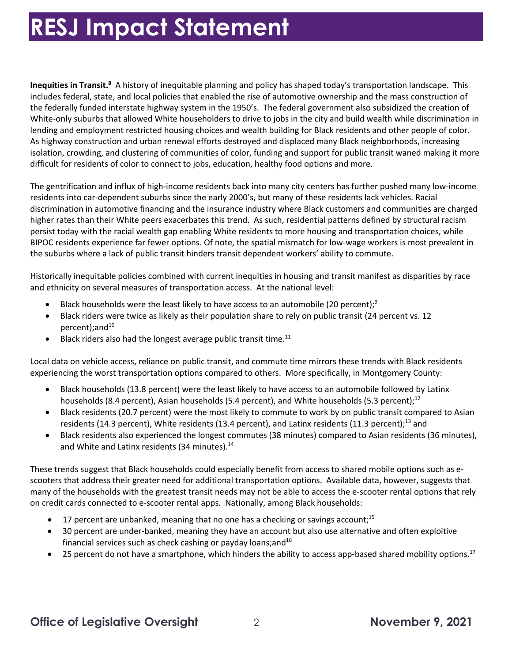Inequities in Transit.<sup>8</sup> A history of inequitable planning and policy has shaped today's transportation landscape. This includes federal, state, and local policies that enabled the rise of automotive ownership and the mass construction of the federally funded interstate highway system in the 1950's. The federal government also subsidized the creation of White-only suburbs that allowed White householders to drive to jobs in the city and build wealth while discrimination in As highway construction and urban renewal efforts destroyed and displaced many Black neighborhoods, increasing isolation, crowding, and clustering of communities of color, funding and support for public transit waned making it more lending and employment restricted housing choices and wealth building for Black residents and other people of color. difficult for residents of color to connect to jobs, education, healthy food options and more.

 residents into car-dependent suburbs since the early 2000's, but many of these residents lack vehicles. Racial discrimination in automotive financing and the insurance industry where Black customers and communities are charged higher rates than their White peers exacerbates this trend. As such, residential patterns defined by structural racism persist today with the racial wealth gap enabling White residents to more housing and transportation choices, while BIPOC residents experience far fewer options. Of note, the spatial mismatch for low-wage workers is most prevalent in the suburbs where a lack of public transit hinders transit dependent workers' ability to commute. The gentrification and influx of high-income residents back into many city centers has further pushed many low-income

 Historically inequitable policies combined with current inequities in housing and transit manifest as disparities by race and ethnicity on several measures of transportation access. At the national level:

- Black households were the least likely to have access to an automobile (20 percent);<sup>9</sup>
- • Black riders were twice as likely as their population share to rely on public transit (24 percent vs. 12 percent);and<sup>10</sup>
- $\bullet$  Black riders also had the longest average public transit time.<sup>11</sup>

 Local data on vehicle access, reliance on public transit, and commute time mirrors these trends with Black residents experiencing the worst transportation options compared to others. More specifically, in Montgomery County:

- • Black households (13.8 percent) were the least likely to have access to an automobile followed by Latinx households (8.4 percent), Asian households (5.4 percent), and White households (5.3 percent);<sup>12</sup>
- • Black residents (20.7 percent) were the most likely to commute to work by on public transit compared to Asian residents (14.3 percent), White residents (13.4 percent), and Latinx residents (11.3 percent);<sup>13</sup> and
- and White and Latinx residents (34 minutes).<sup>14</sup> • Black residents also experienced the longest commutes (38 minutes) compared to Asian residents (36 minutes),

 These trends suggest that Black households could especially benefit from access to shared mobile options such as e- scooters that address their greater need for additional transportation options. Available data, however, suggests that many of the households with the greatest transit needs may not be able to access the e-scooter rental options that rely on credit cards connected to e-scooter rental apps. Nationally, among Black households:

- $\bullet$  17 percent are unbanked, meaning that no one has a checking or savings account;<sup>15</sup>
- financial services such as check cashing or payday loans; and  $16$ • 30 percent are under-banked, meaning they have an account but also use alternative and often exploitive
- 25 percent do not have a smartphone, which hinders the ability to access app-based shared mobility options.<sup>17</sup>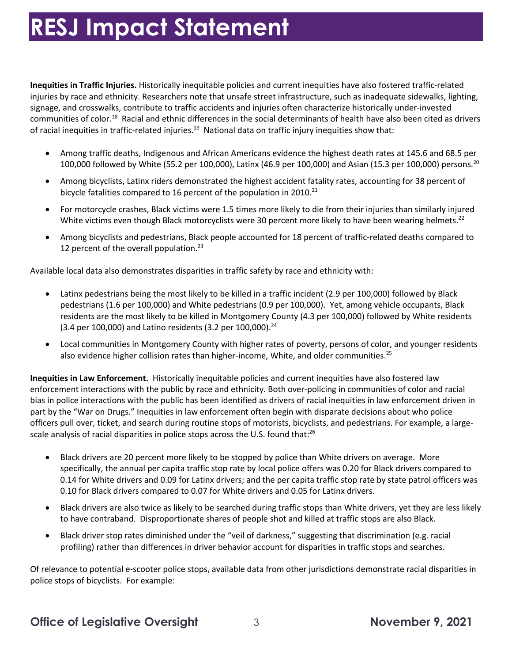**Inequities in Traffic Injuries.** Historically inequitable policies and current inequities have also fostered traffic-related injuries by race and ethnicity. Researchers note that unsafe street infrastructure, such as inadequate sidewalks, lighting, signage, and crosswalks, contribute to traffic accidents and injuries often characterize historically under-invested communities of [color.](https://color.18)<sup>18</sup> Racial and ethnic differences in the social determinants of health have also been cited as drivers of racial inequities in traffic-related injuries.<sup>19</sup> National data on traffic injury inequities show that:

- 100,000 followed by White (55.2 per 100,000), Latinx (46.9 per 100,000) and Asian (15.3 per 100,000) persons.<sup>20</sup> • Among traffic deaths, Indigenous and African Americans evidence the highest death rates at 145.6 and 68.5 per
- • Among bicyclists, Latinx riders demonstrated the highest accident fatality rates, accounting for 38 percent of bicycle fatalities compared to 16 percent of the population in 2010. $^{21}$
- • For motorcycle crashes, Black victims were 1.5 times more likely to die from their injuries than similarly injured White victims even though Black motorcyclists were 30 percent more likely to have been wearing [helmets.](https://helmets.22)<sup>22</sup>
- • Among bicyclists and pedestrians, Black people accounted for 18 percent of traffic-related deaths compared to 12 percent of the overall population. $^{23}$

Available local data also demonstrates disparities in traffic safety by race and ethnicity with:

- • Latinx pedestrians being the most likely to be killed in a traffic incident (2.9 per 100,000) followed by Black pedestrians (1.6 per 100,000) and White pedestrians (0.9 per 100,000). Yet, among vehicle occupants, Black residents are the most likely to be killed in Montgomery County (4.3 per 100,000) followed by White residents (3.4 per 100,000) and Latino residents (3.2 per 100,000).<sup>24</sup>
- Local communities in Montgomery County with higher rates of poverty, persons of color, and younger residents also evidence higher collision rates than higher-income, White, and older communities. $^{25}$

 **Inequities in Law Enforcement.** Historically inequitable policies and current inequities have also fostered law enforcement interactions with the public by race and ethnicity. Both over-policing in communities of color and racial part by the "War on Drugs." Inequities in law enforcement often begin with disparate decisions about who police officers pull over, ticket, and search during routine stops of motorists, bicyclists, and pedestrians. For example, a largescale analysis of racial disparities in police stops across the U.S. found that: $^{26}$ bias in police interactions with the public has been identified as drivers of racial inequities in law enforcement driven in

- • Black drivers are 20 percent more likely to be stopped by police than White drivers on average. More specifically, the annual per capita traffic stop rate by local police offers was 0.20 for Black drivers compared to 0.14 for White drivers and 0.09 for Latinx drivers; and the per capita traffic stop rate by state patrol officers was 0.10 for Black drivers compared to 0.07 for White drivers and 0.05 for Latinx drivers.
- • Black drivers are also twice as likely to be searched during traffic stops than White drivers, yet they are less likely to have contraband. Disproportionate shares of people shot and killed at traffic stops are also Black.
- • Black driver stop rates diminished under the "veil of darkness," suggesting that discrimination (e.g. racial profiling) rather than differences in driver behavior account for disparities in traffic stops and searches.

 Of relevance to potential e-scooter police stops, available data from other jurisdictions demonstrate racial disparities in police stops of bicyclists. For example: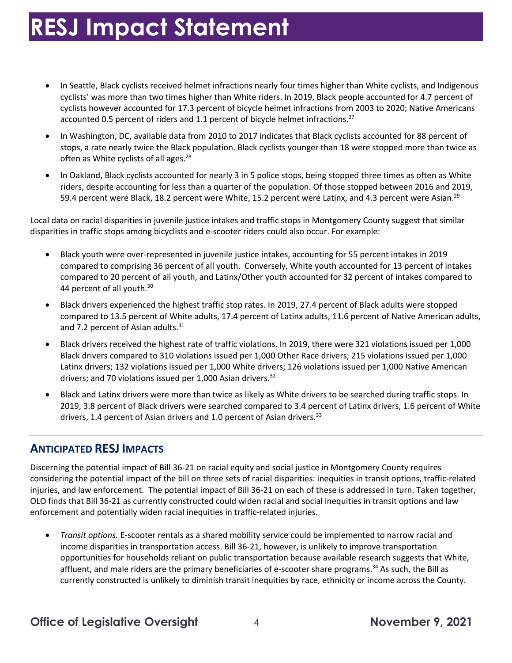- cyclists' was more than two times higher than White riders. In 2019, Black people accounted for 4.7 percent of cyclists however accounted for 17.3 percent of bicycle helmet infractions from 2003 to 2020; Native Americans accounted 0.5 percent of riders and 1.1 percent of bicycle helmet infractions.<sup>27</sup> • In Seattle, Black cyclists received helmet infractions nearly four times higher than White cyclists, and Indigenous
- stops, a rate nearly twice the Black population. Black cyclists younger than 18 were stopped more than twice as often as White cyclists of all ages.<sup>28</sup> • In Washington, DC, available data from 2010 to 2017 indicates that Black cyclists accounted for 88 percent of
- riders, despite accounting for less than a quarter of the population. Of those stopped between 2016 and 2019, 59.4 percent were Black, 18.2 percent were White, 15.2 percent were Latinx, and 4.3 percent were Asian.<sup>29</sup> • In Oakland, Black cyclists accounted for nearly 3 in 5 police stops, being stopped three times as often as White

Local data on racial disparities in juvenile justice intakes and traffic stops in Montgomery County suggest that similar disparities in traffic stops among bicyclists and e-scooter riders could also occur. For example:

- • Black youth were over-represented in juvenile justice intakes, accounting for 55 percent intakes in 2019 compared to comprising 36 percent of all youth. Conversely, White youth accounted for 13 percent of intakes compared to 20 percent of all youth, and Latinx/Other youth accounted for 32 percent of intakes compared to 44 percent of all youth.<sup>30</sup>
- • Black drivers experienced the highest traffic stop rates. In 2019, 27.4 percent of Black adults were stopped compared to 13.5 percent of White adults, 17.4 percent of Latinx adults, 11.6 percent of Native American adults, and 7.2 percent of Asian adults.<sup>31</sup>
- • Black drivers received the highest rate of traffic violations. In 2019, there were 321 violations issued per 1,000 Black drivers compared to 310 violations issued per 1,000 Other Race drivers; 215 violations issued per 1,000 Latinx drivers; 132 violations issued per 1,000 White drivers; 126 violations issued per 1,000 Native American drivers; and 70 violations issued per 1,000 Asian [drivers.](https://drivers.32)<sup>32</sup>
- • Black and Latinx drivers were more than twice as likely as White drivers to be searched during traffic stops. In 2019, 3.8 percent of Black drivers were searched compared to 3.4 percent of Latinx drivers, 1.6 percent of White drivers, 1.4 percent of Asian drivers and 1.0 percent of Asian drivers.<sup>33</sup>

### **ANTICIPATED RESJ IMPACTS**

 Discerning the potential impact of Bill 36-21 on racial equity and social justice in Montgomery County requires considering the potential impact of the bill on three sets of racial disparities: inequities in transit options, traffic-related injuries, and law enforcement. The potential impact of Bill 36-21 on each of these is addressed in turn. Taken together, OLO finds that Bill 36-21 as currently constructed could widen racial and social inequities in transit options and law enforcement and potentially widen racial inequities in traffic-related injuries.

 • *Transit options.* E-scooter rentals as a shared mobility service could be implemented to narrow racial and opportunities for households reliant on public transportation because available research suggests that White, affluent, and male riders are the primary beneficiaries of e-scooter share programs.<sup>34</sup> As such, the Bill as currently constructed is unlikely to diminish transit inequities by race, ethnicity or income across the County. income disparities in transportation access. Bill 36-21, however, is unlikely to improve transportation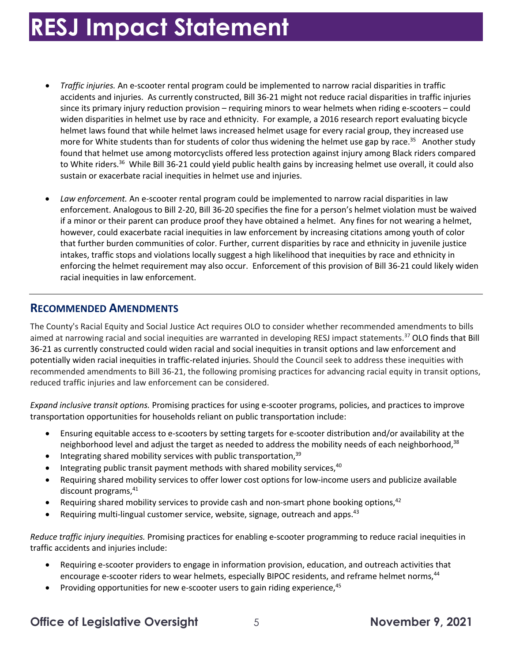- • *Traffic injuries.* An e-scooter rental program could be implemented to narrow racial disparities in traffic accidents and injuries. As currently constructed, Bill 36-21 might not reduce racial disparities in traffic injuries widen disparities in helmet use by race and ethnicity. For example, a 2016 research report evaluating bicycle more for White students than for students of color thus widening the helmet use gap by race.<sup>35</sup> Another study to White riders.<sup>36</sup> While Bill 36-21 could yield public health gains by increasing helmet use overall, it could also since its primary injury reduction provision – requiring minors to wear helmets when riding e-scooters – could helmet laws found that while helmet laws increased helmet usage for every racial group, they increased use found that helmet use among motorcyclists offered less protection against injury among Black riders compared sustain or exacerbate racial inequities in helmet use and injuries.
- • *Law enforcement.* An e-scooter rental program could be implemented to narrow racial disparities in law enforcement. Analogous to Bill 2-20, Bill 36-20 specifies the fine for a person's helmet violation must be waived however, could exacerbate racial inequities in law enforcement by increasing citations among youth of color that further burden communities of color. Further, current disparities by race and ethnicity in juvenile justice intakes, traffic stops and violations locally suggest a high likelihood that inequities by race and ethnicity in enforcing the helmet requirement may also occur. Enforcement of this provision of Bill 36-21 could likely widen if a minor or their parent can produce proof they have obtained a helmet. Any fines for not wearing a helmet, racial inequities in law enforcement.

#### **RECOMMENDED AMENDMENTS**

 The County's Racial Equity and Social Justice Act requires OLO to consider whether recommended amendments to bills aimed at narrowing racial and social inequities are warranted in developing RESJ impact statements.<sup>37</sup> OLO finds that Bill 36-21 as currently constructed could widen racial and social inequities in transit options and law enforcement and potentially widen racial inequities in traffic-related injuries. Should the Council seek to address these inequities with recommended amendments to Bill 36-21, the following promising practices for advancing racial equity in transit options, reduced traffic injuries and law enforcement can be considered.

 *Expand inclusive transit options.* Promising practices for using e-scooter programs, policies, and practices to improve transportation opportunities for households reliant on public transportation include:

- • Ensuring equitable access to e-scooters by setting targets for e-scooter distribution and/or availability at the neighborhood level and adjust the target as needed to address the mobility needs of each neighborhood,<sup>38</sup>
- $\bullet$  Integrating shared mobility services with public transportation,  $39$
- $\bullet$  Integrating public transit payment methods with shared mobility services,  $^{40}$
- Requiring shared mobility services to offer lower cost options for low-income users and publicize available discount programs, 41
- Requiring shared mobility services to provide cash and non-smart phone booking options,  $42$
- Requiring multi-lingual customer service, website, signage, outreach and apps.<sup>43</sup>

 *Reduce traffic injury inequities.* Promising practices for enabling e-scooter programming to reduce racial inequities in traffic accidents and injuries include:

- encourage e-scooter riders to wear helmets, especially BIPOC residents, and reframe helmet norms,<sup>44</sup> • Requiring e-scooter providers to engage in information provision, education, and outreach activities that
- Providing opportunities for new e-scooter users to gain riding experience,  $45$

### **Office of Legislative Oversight**  $\qquad 5$  **November 9, 2021**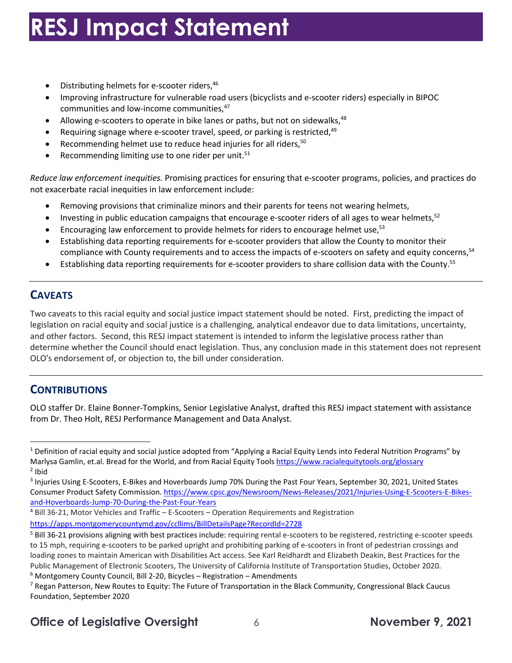- $\bullet$  Distributing helmets for e-scooter riders,  $46$
- Improving infrastructure for vulnerable road users (bicyclists and e-scooter riders) especially in BIPOC communities and low-income communities, 47
- Allowing e-scooters to operate in bike lanes or paths, but not on sidewalks,  $48$
- Requiring signage where e-scooter travel, speed, or parking is restricted,  $49$
- Recommending helmet use to reduce head injuries for all riders,<sup>50</sup>
- Recommending limiting use to one rider per unit. $51$

 *Reduce law enforcement inequities.* Promising practices for ensuring that e-scooter programs, policies, and practices do not exacerbate racial inequities in law enforcement include:

- Removing provisions that criminalize minors and their parents for teens not wearing helmets,
- $\bullet$  Investing in public education campaigns that encourage e-scooter riders of all ages to wear helmets,<sup>52</sup>
- Encouraging law enforcement to provide helmets for riders to encourage helmet use,<sup>53</sup>
- • Establishing data reporting requirements for e-scooter providers that allow the County to monitor their compliance with County requirements and to access the impacts of e-scooters on safety and equity concerns,<sup>54</sup>
- Establishing data reporting requirements for e-scooter providers to share collision data with the [County.55](https://County.55)

#### **CAVEATS**

 Two caveats to this racial equity and social justice impact statement should be noted. First, predicting the impact of and other factors. Second, this RESJ impact statement is intended to inform the legislative process rather than determine whether the Council should enact legislation. Thus, any conclusion made in this statement does not represent OLO's endorsement of, or objection to, the bill under consideration. legislation on racial equity and social justice is a challenging, analytical endeavor due to data limitations, uncertainty,

#### **CONTRIBUTIONS**

 OLO staffer Dr. Elaine Bonner-Tompkins, Senior Legislative Analyst, drafted this RESJ impact statement with assistance from Dr. Theo Holt, RESJ Performance Management and Data Analyst.

 $^1$  Definition of racial equity and social justice adopted from "Applying a Racial Equity Lends into Federal Nutrition Programs" by Marlysa Gamlin, et.al. Bread for the World, and from Racial Equity Tools <u><https://www.racialequitytools.org/glossary></u><br><sup>2</sup> Ibid  $2$  Ibid

<sup>&</sup>lt;sup>3</sup> Injuries Using E-Scooters, E-Bikes and Hoverboards Jump 70% During the Past Four Years, September 30, 2021, United States Consumer Product Safety Commission. <https://www.cpsc.gov/Newsroom/News-Releases/2021/Injuries-Using-E-Scooters-E-Bikes>-

<sup>&</sup>lt;mark>and-Hoverboards-Jump-70-During-the-Past-Four-Years</mark><br><sup>4</sup> Bill 36-21, Motor Vehicles and Traffic – E-Scooters – Operation Requirements and Registration

<https://apps.montgomerycountymd.gov/ccllims/BillDetailsPage?RecordId=2728>

<sup>&</sup>lt;sup>5</sup> Bill 36-21 provisions aligning with best practices include: requiring rental e-scooters to be registered, restricting e-scooter speeds to 15 mph, requiring e-scooters to be parked upright and prohibiting parking of e-scooters in front of pedestrian crossings and Public Management of Electronic Scooters, The University of California Institute of Transportation Studies, October 2020.  $6$  Montgomery County Council, Bill 2-20, Bicycles - Registration - Amendments Public Management of Electronic Scooters, The University of California Institute of Transportation Studies, October 2020.<br><sup>6</sup> Montgomery County Council, Bill 2-20, Bicycles – Registration – Amendments<br><sup>7</sup> Regan Patterson, loading zones to maintain American with Disabilities Act access. See Karl Reidhardt and Elizabeth Deakin, Best Practices for the

 Foundation, September 2020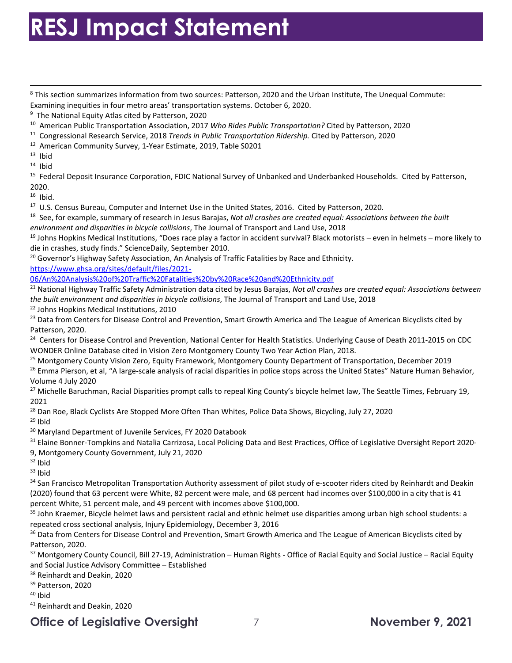<sup>8</sup> This section summarizes information from two sources: Patterson, 2020 and the Urban Institute, The Unequal Commute:

Examining inequities in four metro areas' transportation systems. October 6, 2020.<br><sup>9</sup> The National Equity Atlas cited by Patterson, 2020 <sup>9</sup> The National Equity Atlas cited by Patterson, 2020

<sup>11</sup> Congressional Research Service, 2018 Trends in Public Transportation Ridership. Cited by Patterson, 2020

<sup>12</sup> American Community Survey, 1-Year Estimate, 2019, Table S0201

 $13$  Ibid

 $14$  Ibid

<sup>10</sup> American Public Transportation Association, 2017 Who Rides Public Transportation? Cited by Patterson, 2020<br><sup>11</sup> Congressional Research Service, 2018 *Trends in Public Transportation Ridership*. Cited by Patterson, 202 2020.

 $16$  Ibid.

<sup>18</sup> See, for example, summary of research in Jesus Barajas, Not all crashes are created equal: Associations between the built environment and disparities in bicycle collisions, The Journal of Transport and Land Use, 2018 <sup>16</sup> Ibid.<br><sup>17</sup> U.S. Census Bureau, Computer and Internet Use in the United States, 2016. Cited by Patterson, 2020.<br><sup>18</sup> See, for example, summary of research in Jesus Barajas, *Not all crashes are created equal: Associati* 

*environment and disparities in bicycle collisions,* The Journal of Transport and Land Use, 2018<br><sup>19</sup> Johns Hopkins Medical Institutions, "Does race play a factor in accident survival? Black motorists – even in helmets – m die in crashes, study finds." ScienceDaily, September 2010.

die in crashes, study finds." ScienceDaily, September 2010.<br><sup>20</sup> Governor's Highway Safety Association, An Analysis of Traffic Fatalities by Race and Ethnicity.

[https://www.ghsa.org/sites/default/files/2021-](https://www.ghsa.org/sites/default/files/2021)

06/An%20Analysis%20of%20Traffic%20Fatalities%20by%20Race%20and%20Ethnicity.pdf

<u>06/An%20Analysis%20of%20Traffic%20Fatalities%20by%20Race%20and%20Ethnicity.pdf</u><br><sup>21</sup> National Highway Traffic Safety Administration data cited by Jesus Barajas, *Not all crashes are created equal: Associations between* the built environment and disparities in bicycle collisions, The Journal of Transport and Land Use, 2018

*the built environment and disparities in bicycle collisions,* The Journal of Transport and Land Use, 2018<br><sup>22</sup> Johns Hopkins Medical Institutions, 2010<br><sup>23</sup> Data from Centers for Disease Control and Prevention, Smart Grow Patterson, 2020.

<sup>24</sup> Centers for Disease Control and Prevention, National Center for Health Statistics. Underlying Cause of Death 2011-2015 on CDC WONDER Online Database cited in Vision Zero Montgomery County Two Year Action Plan, 2018.

WONDER Online Database cited in Vision Zero Montgomery County Two Year Action Plan, 2018.<br><sup>25</sup> Montgomery County Vision Zero, Equity Framework, Montgomery County Department of Transportation, December 2019

<sup>26</sup> Emma Pierson, et al, "A large-scale analysis of racial disparities in police stops across the United States" Nature Human Behavior, Volume 4 July 2020

<sup>27</sup> Michelle Baruchman, Racial Disparities prompt calls to repeal King County's bicycle helmet law, The Seattle Times, February 19, 2021

<sup>28</sup> Dan Roe, Black Cyclists Are Stopped More Often Than Whites, Police Data Shows, Bicycling, July 27, 2020<br><sup>29</sup> Ibid<br><sup>30</sup> Maryland Department of Juvenile Services, FY 2020 Databook

 $29$  Ibid

<sup>30</sup> Maryland Department of Juvenile Services, FY 2020 Databook

 9, Montgomery County Government, July 21, 2020 <sup>31</sup> Elaine Bonner-Tompkins and Natalia Carrizosa, Local Policing Data and Best Practices, Office of Legislative Oversight Report 2020-

 $32$  Ibid

<sup>32</sup> Ibid<br><sup>33</sup> Ibid

<sup>34</sup> San Francisco Metropolitan Transportation Authority assessment of pilot study of e-scooter riders cited by Reinhardt and Deakin percent White, 51 percent male, and 49 percent with incomes above \$100,000. (2020) found that 63 percent were White, 82 percent were male, and 68 percent had incomes over \$100,000 in a city that is 41

repeated cross sectional analysis, Injury Epidemiology, December 3, 2016 <sup>35</sup> John Kraemer, Bicycle helmet laws and persistent racial and ethnic helmet use disparities among urban high school students: a

repeated cross sectional analysis, Injury Epidemiology, December 3, 2016<br><sup>36</sup> Data from Centers for Disease Control and Prevention, Smart Growth America and The League of American Bicyclists cited by Patterson, 2020.

37 Montgomery County Council, Bill 27-19, Administration – Human Rights - Office of Racial Equity and Social Justice – Racial Equity and Social Justice Advisory Committee – Established<br><sup>38</sup> Reinhardt and Deakin, 2020<br><sup>39</sup> Patterson, 2020

<sup>38</sup> Reinhardt and Deakin, 2020

<sup>40</sup> Ibid

<sup>41</sup> Reinhardt and Deakin, 2020

### **Office of Legislative Oversight** 7 **November 9, 2021**

<sup>&</sup>lt;sup>10</sup> American Public Transportation Association, 2017 Who Rides Public Transportation? Cited by Patterson, 2020